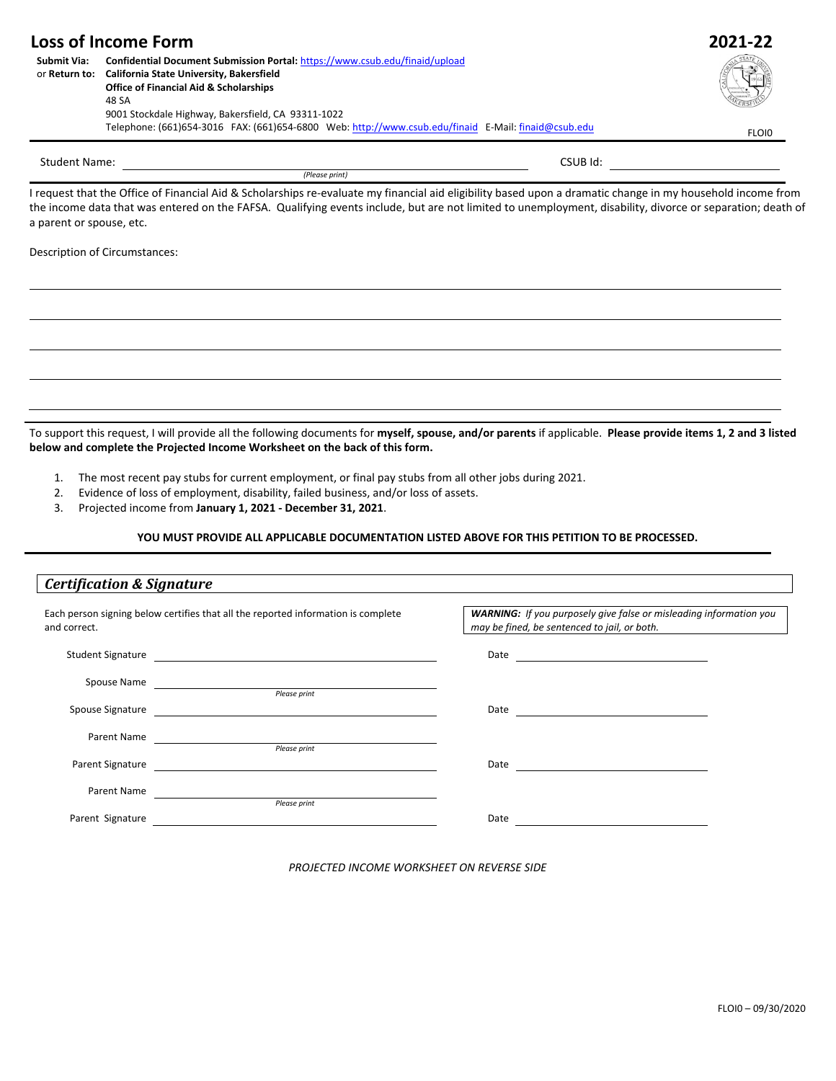| <b>Loss of Income Form</b> | 2021-22                                                                                             |       |
|----------------------------|-----------------------------------------------------------------------------------------------------|-------|
| Submit Via:                | Confidential Document Submission Portal: https://www.csub.edu/finaid/upload                         |       |
|                            | or Return to: California State University, Bakersfield                                              |       |
|                            | <b>Office of Financial Aid &amp; Scholarships</b>                                                   |       |
|                            | 48 SA                                                                                               |       |
|                            | 9001 Stockdale Highway, Bakersfield, CA 93311-1022                                                  |       |
|                            | Telephone: (661)654-3016 FAX: (661)654-6800 Web: http://www.csub.edu/finaid E-Mail: finaid@csub.edu | FLOI0 |

*(Please print)*

Student Name: CSUB Id:

I request that the Office of Financial Aid & Scholarships re-evaluate my financial aid eligibility based upon a dramatic change in my household income from the income data that was entered on the FAFSA. Qualifying events include, but are not limited to unemployment, disability, divorce or separation; death of a parent or spouse, etc.

Description of Circumstances:

To support this request, I will provide all the following documents for **myself, spouse, and/or parents** if applicable. **Please provide items 1, 2 and 3 listed below and complete the Projected Income Worksheet on the back of this form.**

- 1. The most recent pay stubs for current employment, or final pay stubs from all other jobs during 2021.
- 2. Evidence of loss of employment, disability, failed business, and/or loss of assets.
- 3. Projected income from **January 1, 2021 - December 31, 2021**.

**YOU MUST PROVIDE ALL APPLICABLE DOCUMENTATION LISTED ABOVE FOR THIS PETITION TO BE PROCESSED.**

## *Certification & Signature* Each person signing below certifies that all the reported information is complete *WARNING: If you purposely give false or misleading information you*  and correct. *may be fined, be sentenced to jail, or both.* Student Signature **Date Date Date Date Date Date Date Date Date Date Date Date Date Date Date Date Date Date Date Date Date Date Date Date Date D** Spouse Name **Please print**<br>*Please print* Spouse Signature Date *Please print* Parent Name Parent Signature Date and the state of the state of the state of the state of the state of the state of the state of the state of the state of the state of the state of the state of the state of the state of the state of the state of the s Parent Name *Please print* Parent Signature Date and the contract of the contract of the contract of the contract of the contract of the contract of the contract of the contract of the contract of the contract of the contract of the contract of the contract of the c

*PROJECTED INCOME WORKSHEET ON REVERSE SIDE*